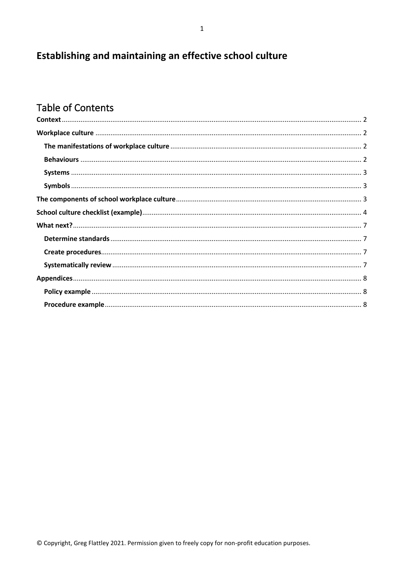# Establishing and maintaining an effective school culture

# **Table of Contents**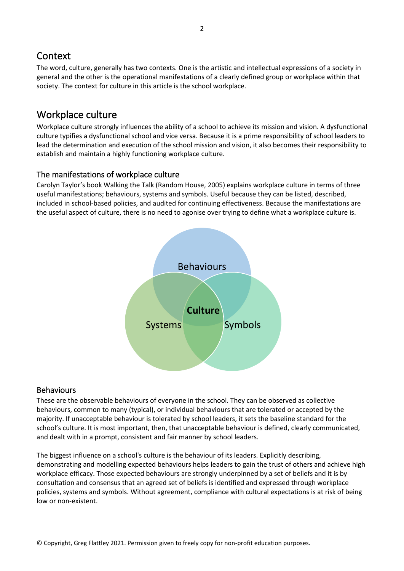## <span id="page-1-0"></span>**Context**

The word, culture, generally has two contexts. One is the artistic and intellectual expressions of a society in general and the other is the operational manifestations of a clearly defined group or workplace within that society. The context for culture in this article is the school workplace.

## <span id="page-1-1"></span>Workplace culture

Workplace culture strongly influences the ability of a school to achieve its mission and vision. A dysfunctional culture typifies a dysfunctional school and vice versa. Because it is a prime responsibility of school leaders to lead the determination and execution of the school mission and vision, it also becomes their responsibility to establish and maintain a highly functioning workplace culture.

### <span id="page-1-2"></span>The manifestations of workplace culture

Carolyn Taylor's book Walking the Talk (Random House, 2005) explains workplace culture in terms of three useful manifestations; behaviours, systems and symbols. Useful because they can be listed, described, included in school-based policies, and audited for continuing effectiveness. Because the manifestations are the useful aspect of culture, there is no need to agonise over trying to define what a workplace culture is.



### <span id="page-1-3"></span>Behaviours

These are the observable behaviours of everyone in the school. They can be observed as collective behaviours, common to many (typical), or individual behaviours that are tolerated or accepted by the majority. If unacceptable behaviour is tolerated by school leaders, it sets the baseline standard for the school's culture. It is most important, then, that unacceptable behaviour is defined, clearly communicated, and dealt with in a prompt, consistent and fair manner by school leaders.

The biggest influence on a school's culture is the behaviour of its leaders. Explicitly describing, demonstrating and modelling expected behaviours helps leaders to gain the trust of others and achieve high workplace efficacy. Those expected behaviours are strongly underpinned by a set of beliefs and it is by consultation and consensus that an agreed set of beliefs is identified and expressed through workplace policies, systems and symbols. Without agreement, compliance with cultural expectations is at risk of being low or non-existent.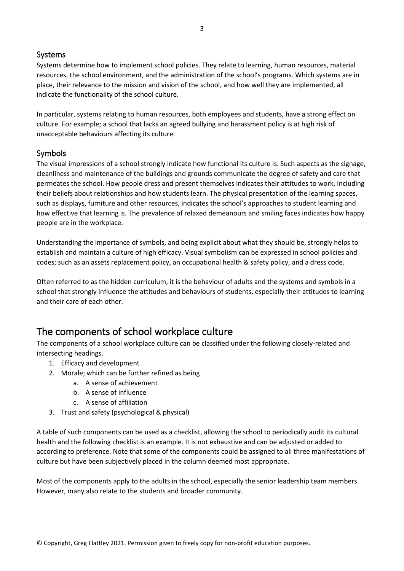#### <span id="page-2-0"></span>Systems

Systems determine how to implement school policies. They relate to learning, human resources, material resources, the school environment, and the administration of the school's programs. Which systems are in place, their relevance to the mission and vision of the school, and how well they are implemented, all indicate the functionality of the school culture.

In particular, systems relating to human resources, both employees and students, have a strong effect on culture. For example; a school that lacks an agreed bullying and harassment policy is at high risk of unacceptable behaviours affecting its culture.

#### <span id="page-2-1"></span>Symbols

The visual impressions of a school strongly indicate how functional its culture is. Such aspects as the signage, cleanliness and maintenance of the buildings and grounds communicate the degree of safety and care that permeates the school. How people dress and present themselves indicates their attitudes to work, including their beliefs about relationships and how students learn. The physical presentation of the learning spaces, such as displays, furniture and other resources, indicates the school's approaches to student learning and how effective that learning is. The prevalence of relaxed demeanours and smiling faces indicates how happy people are in the workplace.

Understanding the importance of symbols, and being explicit about what they should be, strongly helps to establish and maintain a culture of high efficacy. Visual symbolism can be expressed in school policies and codes; such as an assets replacement policy, an occupational health & safety policy, and a dress code.

Often referred to as the hidden curriculum, it is the behaviour of adults and the systems and symbols in a school that strongly influence the attitudes and behaviours of students, especially their attitudes to learning and their care of each other.

## <span id="page-2-2"></span>The components of school workplace culture

The components of a school workplace culture can be classified under the following closely-related and intersecting headings.

- 1. Efficacy and development
- 2. Morale; which can be further refined as being
	- a. A sense of achievement
	- b. A sense of influence
	- c. A sense of affiliation
- 3. Trust and safety (psychological & physical)

A table of such components can be used as a checklist, allowing the school to periodically audit its cultural health and the following checklist is an example. It is not exhaustive and can be adjusted or added to according to preference. Note that some of the components could be assigned to all three manifestations of culture but have been subjectively placed in the column deemed most appropriate.

Most of the components apply to the adults in the school, especially the senior leadership team members. However, many also relate to the students and broader community.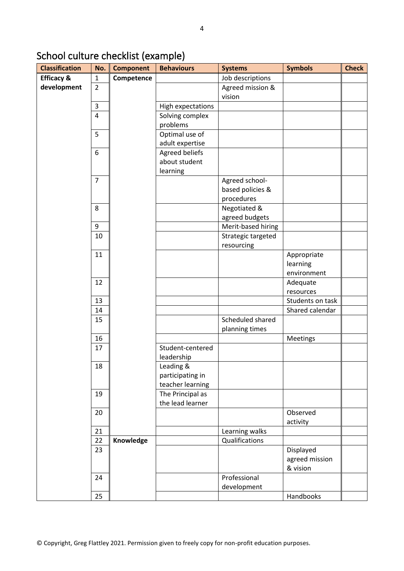# <span id="page-3-0"></span>School culture checklist (example)

| <b>Classification</b> | No.            | <b>Component</b> | <b>Behaviours</b>                    | <b>Systems</b>     | <b>Symbols</b>   | <b>Check</b> |
|-----------------------|----------------|------------------|--------------------------------------|--------------------|------------------|--------------|
| <b>Efficacy &amp;</b> | $\mathbf{1}$   | Competence       |                                      | Job descriptions   |                  |              |
| development           | $\overline{2}$ |                  |                                      | Agreed mission &   |                  |              |
|                       |                |                  |                                      | vision             |                  |              |
|                       | $\overline{3}$ |                  | High expectations                    |                    |                  |              |
|                       | $\overline{4}$ |                  | Solving complex                      |                    |                  |              |
|                       |                |                  | problems                             |                    |                  |              |
|                       | 5              |                  | Optimal use of                       |                    |                  |              |
|                       |                |                  | adult expertise                      |                    |                  |              |
|                       | 6              |                  | Agreed beliefs                       |                    |                  |              |
|                       |                |                  | about student                        |                    |                  |              |
|                       |                |                  | learning                             |                    |                  |              |
|                       | $\overline{7}$ |                  |                                      | Agreed school-     |                  |              |
|                       |                |                  |                                      | based policies &   |                  |              |
|                       |                |                  |                                      | procedures         |                  |              |
|                       | 8              |                  |                                      | Negotiated &       |                  |              |
|                       |                |                  |                                      | agreed budgets     |                  |              |
|                       | 9              |                  |                                      | Merit-based hiring |                  |              |
|                       | 10             |                  |                                      | Strategic targeted |                  |              |
|                       |                |                  |                                      | resourcing         |                  |              |
|                       | 11             |                  |                                      |                    | Appropriate      |              |
|                       |                |                  |                                      |                    | learning         |              |
|                       |                |                  |                                      |                    | environment      |              |
|                       | 12             |                  |                                      |                    | Adequate         |              |
|                       |                |                  |                                      |                    | resources        |              |
|                       | 13             |                  |                                      |                    | Students on task |              |
|                       | 14             |                  |                                      |                    | Shared calendar  |              |
|                       | 15             |                  |                                      | Scheduled shared   |                  |              |
|                       |                |                  |                                      | planning times     |                  |              |
|                       | 16             |                  |                                      |                    | Meetings         |              |
|                       | 17             |                  | Student-centered                     |                    |                  |              |
|                       |                |                  | leadership                           |                    |                  |              |
|                       | 18             |                  | Leading &                            |                    |                  |              |
|                       |                |                  | participating in                     |                    |                  |              |
|                       |                |                  | teacher learning                     |                    |                  |              |
|                       | 19             |                  | The Principal as<br>the lead learner |                    |                  |              |
|                       | 20             |                  |                                      |                    | Observed         |              |
|                       |                |                  |                                      |                    | activity         |              |
|                       | 21             |                  |                                      | Learning walks     |                  |              |
|                       | 22             | Knowledge        |                                      | Qualifications     |                  |              |
|                       | 23             |                  |                                      |                    | Displayed        |              |
|                       |                |                  |                                      |                    | agreed mission   |              |
|                       |                |                  |                                      |                    | & vision         |              |
|                       | 24             |                  |                                      | Professional       |                  |              |
|                       |                |                  |                                      | development        |                  |              |
|                       | 25             |                  |                                      |                    | Handbooks        |              |
|                       |                |                  |                                      |                    |                  |              |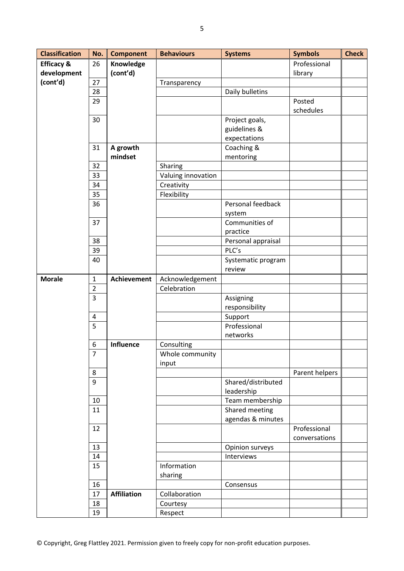| <b>Classification</b> | No.                            | <b>Component</b>   | <b>Behaviours</b>              | <b>Systems</b>     | <b>Symbols</b> | <b>Check</b> |
|-----------------------|--------------------------------|--------------------|--------------------------------|--------------------|----------------|--------------|
| <b>Efficacy &amp;</b> | 26                             | Knowledge          |                                |                    | Professional   |              |
| development           |                                | (cont'd)           |                                |                    | library        |              |
| (cont'd)              | 27                             |                    | Transparency                   |                    |                |              |
|                       | 28                             |                    |                                | Daily bulletins    |                |              |
|                       | 29                             |                    |                                |                    | Posted         |              |
|                       |                                |                    |                                |                    | schedules      |              |
|                       | 30                             |                    |                                | Project goals,     |                |              |
|                       |                                |                    |                                | guidelines &       |                |              |
|                       |                                |                    |                                | expectations       |                |              |
|                       | 31                             | A growth           |                                | Coaching &         |                |              |
|                       |                                | mindset            |                                | mentoring          |                |              |
|                       | 32                             |                    | Sharing                        |                    |                |              |
|                       | 33                             |                    | Valuing innovation             |                    |                |              |
|                       | 34                             |                    | Creativity                     |                    |                |              |
|                       | 35                             |                    | Flexibility                    |                    |                |              |
|                       | 36                             |                    |                                | Personal feedback  |                |              |
|                       |                                |                    |                                | system             |                |              |
|                       | 37                             |                    |                                | Communities of     |                |              |
|                       |                                |                    |                                | practice           |                |              |
|                       | 38                             |                    |                                | Personal appraisal |                |              |
|                       | 39                             |                    |                                | PLC's              |                |              |
|                       | 40                             |                    |                                | Systematic program |                |              |
|                       |                                |                    |                                | review             |                |              |
| <b>Morale</b>         | $\mathbf{1}$<br>$\overline{2}$ | <b>Achievement</b> | Acknowledgement<br>Celebration |                    |                |              |
|                       | 3                              |                    |                                | Assigning          |                |              |
|                       |                                |                    |                                | responsibility     |                |              |
|                       | $\overline{4}$                 |                    |                                | Support            |                |              |
|                       | 5                              |                    |                                | Professional       |                |              |
|                       |                                |                    |                                | networks           |                |              |
|                       | 6                              | Influence          | Consulting                     |                    |                |              |
|                       | 7                              |                    | Whole community                |                    |                |              |
|                       |                                |                    | input                          |                    |                |              |
|                       | 8                              |                    |                                |                    | Parent helpers |              |
|                       | 9                              |                    |                                | Shared/distributed |                |              |
|                       |                                |                    |                                | leadership         |                |              |
|                       | 10                             |                    |                                | Team membership    |                |              |
|                       | 11                             |                    |                                | Shared meeting     |                |              |
|                       |                                |                    |                                | agendas & minutes  |                |              |
|                       | 12                             |                    |                                |                    | Professional   |              |
|                       |                                |                    |                                |                    | conversations  |              |
|                       | 13                             |                    |                                | Opinion surveys    |                |              |
|                       | 14                             |                    |                                | Interviews         |                |              |
|                       | 15                             |                    | Information                    |                    |                |              |
|                       |                                |                    | sharing                        |                    |                |              |
|                       | 16                             |                    |                                | Consensus          |                |              |
|                       | 17                             | <b>Affiliation</b> | Collaboration                  |                    |                |              |
|                       | 18                             |                    | Courtesy                       |                    |                |              |
|                       | 19                             |                    | Respect                        |                    |                |              |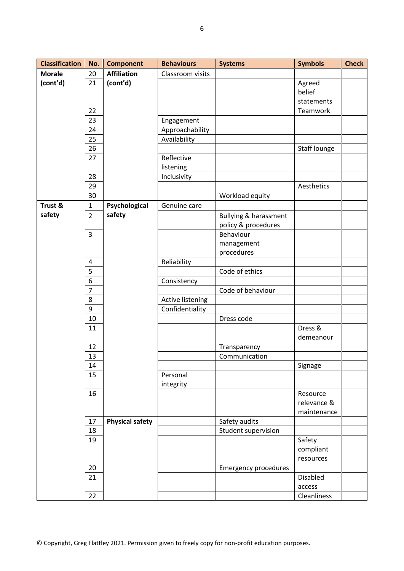| <b>Classification</b> | No.            | <b>Component</b>       | <b>Behaviours</b> | <b>Systems</b>                   | <b>Symbols</b> | <b>Check</b> |
|-----------------------|----------------|------------------------|-------------------|----------------------------------|----------------|--------------|
| <b>Morale</b>         | 20             | <b>Affiliation</b>     | Classroom visits  |                                  |                |              |
| (cont'd)              | 21             | (cont'd)               |                   |                                  | Agreed         |              |
|                       |                |                        |                   |                                  | belief         |              |
|                       |                |                        |                   |                                  | statements     |              |
|                       | 22             |                        |                   |                                  | Teamwork       |              |
|                       | 23             |                        | Engagement        |                                  |                |              |
|                       | 24             |                        | Approachability   |                                  |                |              |
|                       | 25             |                        | Availability      |                                  |                |              |
|                       | 26             |                        |                   |                                  | Staff lounge   |              |
|                       | 27             |                        | Reflective        |                                  |                |              |
|                       |                |                        | listening         |                                  |                |              |
|                       | 28             |                        | Inclusivity       |                                  |                |              |
|                       | 29             |                        |                   |                                  | Aesthetics     |              |
|                       | 30             |                        |                   | Workload equity                  |                |              |
| Trust &               | $\mathbf{1}$   | Psychological          | Genuine care      |                                  |                |              |
| safety                | $\overline{2}$ | safety                 |                   | <b>Bullying &amp; harassment</b> |                |              |
|                       |                |                        |                   | policy & procedures              |                |              |
|                       | 3              |                        |                   | Behaviour                        |                |              |
|                       |                |                        |                   | management                       |                |              |
|                       |                |                        |                   | procedures                       |                |              |
|                       | 4              |                        | Reliability       |                                  |                |              |
|                       | 5              |                        |                   | Code of ethics                   |                |              |
|                       | 6              |                        | Consistency       |                                  |                |              |
|                       | $\overline{7}$ |                        |                   | Code of behaviour                |                |              |
|                       | 8              |                        | Active listening  |                                  |                |              |
|                       | 9              |                        | Confidentiality   |                                  |                |              |
|                       | 10             |                        |                   | Dress code                       |                |              |
|                       | 11             |                        |                   |                                  | Dress &        |              |
|                       |                |                        |                   |                                  | demeanour      |              |
|                       | 12             |                        |                   | Transparency                     |                |              |
|                       | 13             |                        |                   | Communication                    |                |              |
|                       | 14             |                        |                   |                                  | Signage        |              |
|                       | 15             |                        | Personal          |                                  |                |              |
|                       |                |                        | integrity         |                                  |                |              |
|                       | 16             |                        |                   |                                  | Resource       |              |
|                       |                |                        |                   |                                  | relevance &    |              |
|                       |                |                        |                   |                                  | maintenance    |              |
|                       | 17             | <b>Physical safety</b> |                   | Safety audits                    |                |              |
|                       | 18             |                        |                   | Student supervision              |                |              |
|                       | 19             |                        |                   |                                  | Safety         |              |
|                       |                |                        |                   |                                  | compliant      |              |
|                       |                |                        |                   |                                  | resources      |              |
|                       | 20             |                        |                   | <b>Emergency procedures</b>      |                |              |
|                       | 21             |                        |                   |                                  | Disabled       |              |
|                       |                |                        |                   |                                  | access         |              |
|                       | 22             |                        |                   |                                  | Cleanliness    |              |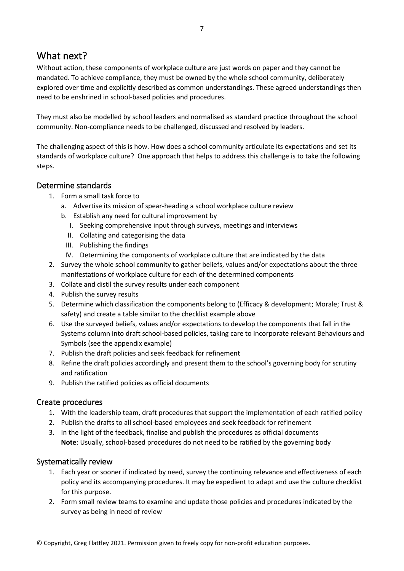## <span id="page-6-0"></span>What next?

Without action, these components of workplace culture are just words on paper and they cannot be mandated. To achieve compliance, they must be owned by the whole school community, deliberately explored over time and explicitly described as common understandings. These agreed understandings then need to be enshrined in school-based policies and procedures.

They must also be modelled by school leaders and normalised as standard practice throughout the school community. Non-compliance needs to be challenged, discussed and resolved by leaders.

The challenging aspect of this is how. How does a school community articulate its expectations and set its standards of workplace culture? One approach that helps to address this challenge is to take the following steps.

#### <span id="page-6-1"></span>Determine standards

- 1. Form a small task force to
	- a. Advertise its mission of spear-heading a school workplace culture review
	- b. Establish any need for cultural improvement by
		- I. Seeking comprehensive input through surveys, meetings and interviews
		- II. Collating and categorising the data
		- III. Publishing the findings
		- IV. Determining the components of workplace culture that are indicated by the data
- 2. Survey the whole school community to gather beliefs, values and/or expectations about the three manifestations of workplace culture for each of the determined components
- 3. Collate and distil the survey results under each component
- 4. Publish the survey results
- 5. Determine which classification the components belong to (Efficacy & development; Morale; Trust & safety) and create a table similar to the checklist example above
- 6. Use the surveyed beliefs, values and/or expectations to develop the components that fall in the Systems column into draft school-based policies, taking care to incorporate relevant Behaviours and Symbols (see the appendix example)
- 7. Publish the draft policies and seek feedback for refinement
- 8. Refine the draft policies accordingly and present them to the school's governing body for scrutiny and ratification
- 9. Publish the ratified policies as official documents

#### <span id="page-6-2"></span>Create procedures

- 1. With the leadership team, draft procedures that support the implementation of each ratified policy
- 2. Publish the drafts to all school-based employees and seek feedback for refinement
- 3. In the light of the feedback, finalise and publish the procedures as official documents **Note**: Usually, school-based procedures do not need to be ratified by the governing body

#### <span id="page-6-3"></span>Systematically review

- 1. Each year or sooner if indicated by need, survey the continuing relevance and effectiveness of each policy and its accompanying procedures. It may be expedient to adapt and use the culture checklist for this purpose.
- 2. Form small review teams to examine and update those policies and procedures indicated by the survey as being in need of review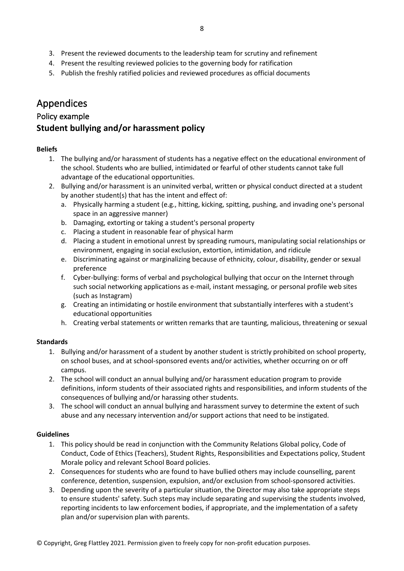- 3. Present the reviewed documents to the leadership team for scrutiny and refinement
- 4. Present the resulting reviewed policies to the governing body for ratification
- 5. Publish the freshly ratified policies and reviewed procedures as official documents

## <span id="page-7-0"></span>Appendices

#### <span id="page-7-1"></span>Policy example

### <span id="page-7-2"></span>**Student bullying and/or harassment policy**

#### **Beliefs**

- 1. The bullying and/or harassment of students has a negative effect on the educational environment of the school. Students who are bullied, intimidated or fearful of other students cannot take full advantage of the educational opportunities.
- 2. Bullying and/or harassment is an uninvited verbal, written or physical conduct directed at a student by another student(s) that has the intent and effect of:
	- a. Physically harming a student (e.g., hitting, kicking, spitting, pushing, and invading one's personal space in an aggressive manner)
	- b. Damaging, extorting or taking a student's personal property
	- c. Placing a student in reasonable fear of physical harm
	- d. Placing a student in emotional unrest by spreading rumours, manipulating social relationships or environment, engaging in social exclusion, extortion, intimidation, and ridicule
	- e. Discriminating against or marginalizing because of ethnicity, colour, disability, gender or sexual preference
	- f. Cyber-bullying: forms of verbal and psychological bullying that occur on the Internet through such social networking applications as e-mail, instant messaging, or personal profile web sites (such as Instagram)
	- g. Creating an intimidating or hostile environment that substantially interferes with a student's educational opportunities
	- h. Creating verbal statements or written remarks that are taunting, malicious, threatening or sexual

#### **Standards**

- 1. Bullying and/or harassment of a student by another student is strictly prohibited on school property, on school buses, and at school-sponsored events and/or activities, whether occurring on or off campus.
- 2. The school will conduct an annual bullying and/or harassment education program to provide definitions, inform students of their associated rights and responsibilities, and inform students of the consequences of bullying and/or harassing other students.
- 3. The school will conduct an annual bullying and harassment survey to determine the extent of such abuse and any necessary intervention and/or support actions that need to be instigated.

#### **Guidelines**

- 1. This policy should be read in conjunction with the Community Relations Global policy, Code of Conduct, Code of Ethics (Teachers), Student Rights, Responsibilities and Expectations policy, Student Morale policy and relevant School Board policies.
- 2. Consequences for students who are found to have bullied others may include counselling, parent conference, detention, suspension, expulsion, and/or exclusion from school-sponsored activities.
- 3. Depending upon the severity of a particular situation, the Director may also take appropriate steps to ensure students' safety. Such steps may include separating and supervising the students involved, reporting incidents to law enforcement bodies, if appropriate, and the implementation of a safety plan and/or supervision plan with parents.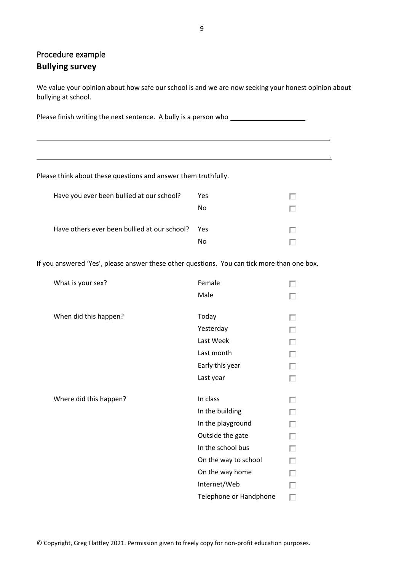## Procedure example **Bullying survey**

We value your opinion about how safe our school is and we are now seeking your honest opinion about bullying at school.

.

Please finish writing the next sentence. A bully is a person who

Please think about these questions and answer them truthfully.

| Have you ever been bullied at our school?        | Yes |  |
|--------------------------------------------------|-----|--|
|                                                  | N٥  |  |
| Have others ever been bullied at our school? Yes |     |  |
|                                                  | N٥  |  |

If you answered 'Yes', please answer these other questions. You can tick more than one box.

| What is your sex?      | Female               |  |
|------------------------|----------------------|--|
|                        | Male                 |  |
|                        |                      |  |
| When did this happen?  | Today                |  |
|                        | Yesterday            |  |
|                        | Last Week            |  |
|                        | Last month           |  |
|                        | Early this year      |  |
|                        | Last year            |  |
|                        |                      |  |
|                        |                      |  |
| Where did this happen? | In class             |  |
|                        | In the building      |  |
|                        | In the playground    |  |
|                        | Outside the gate     |  |
|                        | In the school bus    |  |
|                        | On the way to school |  |
|                        | On the way home      |  |
|                        | Internet/Web         |  |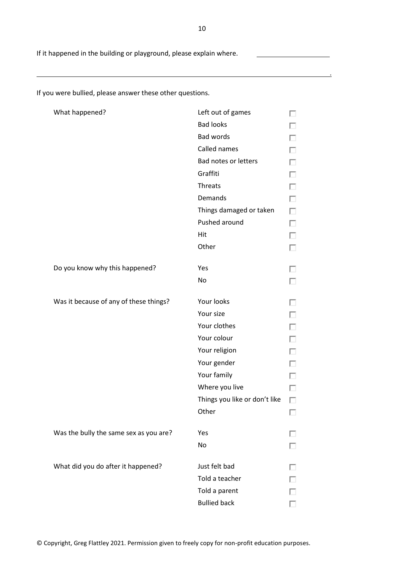If it happened in the building or playground, please explain where.

What happened? Contact Management Contact Management Contact Left out of games  $\Box$ Bad looks П Bad words П Called names п Bad notes or letters п Graffiti П Threats П Demands П Things damaged or taken П Pushed around П Hit П **Other** П Do you know why this happened? Yes п No П Was it because of any of these things? Your looks п Your size П Your clothes Г Your colour П Your religion П Your gender п Your family П Where you live П Things you like or don't like  $\Box$ **Other**  $\Box$ Was the bully the same sex as you are? Yes П No П What did you do after it happened? Just felt bad П Told a teacher П Told a parent П Bullied backП

If you were bullied, please answer these other questions.

.